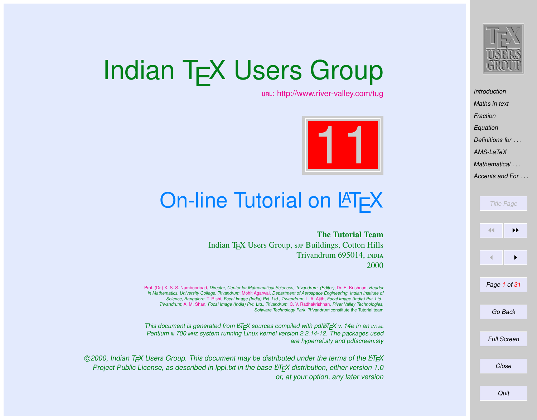

[Introduction](#page-1-0) [Maths in text](#page-2-0) [Fraction](#page-3-0) [Equation](#page-3-0) [Definitions for](#page-9-0) ...  $AMS-IaT<sub>P</sub>X$ [Mathematical](#page-19-0) ... [Accents and For](#page-29-0) ...

# Indian T<sub>F</sub>X Users Group

[: http://www.river-valley.com/tug](http://www.river-valley.com/tug)



# On-line Tutorial on  $\cancel{\text{MTF}}$ X

The Tutorial Team Indian T<sub>E</sub>X Users Group, sip Buildings, Cotton Hills Trivandrum 695014, 2000

[Prof. \(Dr.\) K. S. S. Nambooripad,](mailto:kssn@md2.vsnl.net.in) Director, Center for Mathematical Sciences, Trivandrum, (Editor); [Dr. E. Krishnan,](mailto:ekmath@md5.vsnl.net.in) Reader in Mathematics, University College, Trivandrum; [Mohit Agarwal,](mailto:mohit@cfdlab.aero.iisc.ernet.in) Department of Aerospace Engineering, Indian Institute of Science, Bangalore; [T. Rishi,](file:rishi@river-valley.com) Focal Image (India) Pvt. Ltd., Trivandrum; [L. A. Ajith,](file:ajith@river-valley.com) Focal Image (India) Pvt. Ltd., Trivandrum; [A. M. Shan,](file:shan@river-valley.com) Focal Image (India) Pvt. Ltd., Trivandrum; [C. V. Radhakrishnan,](file:cvr@river-valley.com) River Valley Technologies, Software Technology Park, Trivandrum constitute the Tutorial team

This document is generated from  $\mathbb{E}T \models X$  sources compiled with pdf $\mathbb{E}T \models X$  v. 14e in an INTEL Pentium III 700 MHz system running Linux kernel version 2.2.14-12. The packages used are hyperref.sty and pdfscreen.sty

 $©2000$ , Indian T<sub>F</sub>X Users Group. This document may be distributed under the terms of the  $EFT$ Project Public License, as described in lppl.txt in the base LATEX distribution, either version 1.0 or, at your option, any later version

Title Page 11 | <del>D</del>  $\blacksquare$ Page 1 of 31 Go Back Full Screen Close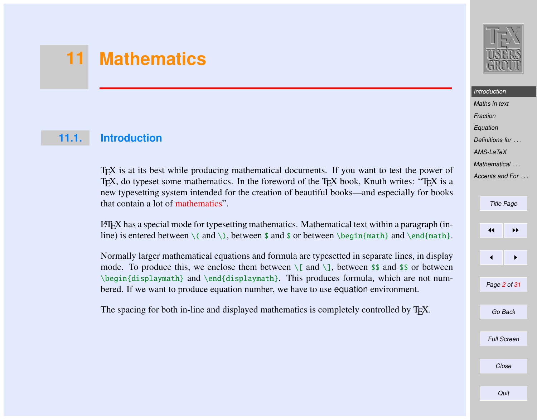# <span id="page-1-0"></span>**11 Mathematics**

### **11.1. Introduction**

TEX is at its best while producing mathematical documents. If you want to test the power of T<sub>EX</sub>, do typeset some mathematics. In the foreword of the T<sub>EX</sub> book, Knuth writes: "T<sub>E</sub>X is a new typesetting system intended for the creation of beautiful books—and especially for books that contain a lot of mathematics".

LATEX has a special mode for typesetting mathematics. Mathematical text within a paragraph (inline) is entered between  $\($  and  $\)$ , between \$ and \$ or between  $\begin{bmatrix} \begin{array}{c} \begin{array}{c} \end{array} \\ \end{bmatrix}$  and  $\end{bmatrix}$  and  $\end{bmatrix}$ .

Normally larger mathematical equations and formula are typesetted in separate lines, in display mode. To produce this, we enclose them between  $\[\$  and  $\]\]$ , between \$\$ and \$\$ or between \begin{displaymath} and \end{displaymath}. This produces formula, which are not numbered. If we want to produce equation number, we have to use equation environment.

The spacing for both in-line and displayed mathematics is completely controlled by T<sub>E</sub>X.



# **Introduction**

[Maths in text](#page-2-0) [Fraction](#page-3-0) [Equation](#page-3-0) [Definitions for](#page-9-0) ...  $AMS-I$ <sub>a</sub>TeX [Mathematical](#page-19-0) ... [Accents and For](#page-29-0) ...

#### Title Page

11

 $\blacktriangleleft$ 

Page 2 of 31

Go Back

Full Screen

Close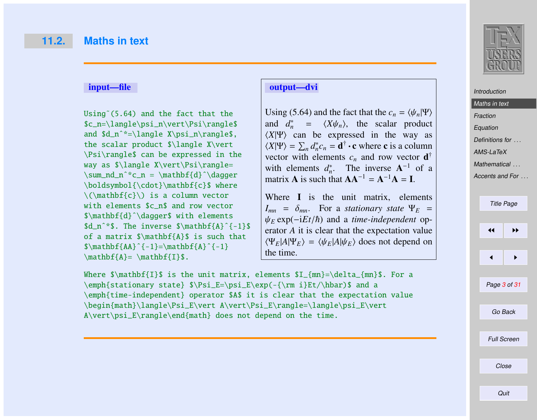#### <span id="page-2-0"></span>input—file

Using˜(5.64) and the fact that the \$c\_n=\langle\psi\_n\vert\Psi\rangle\$ and \$d\_nˆ\*=\langle X\psi\_n\rangle\$, the scalar product \$\langle X\vert \Psi\rangle\$ can be expressed in the way as \$\langle X\vert\Psi\rangle= \sum\_nd\_nˆ\*c\_n = \mathbf{d}ˆ\dagger \boldsymbol{\cdot}\mathbf{c}\$ where  $\(\mathbf{c}\)\$  is a column vector with elements \$c\_n\$ and row vector \$\mathbf{d}ˆ\dagger\$ with elements \$d\_n<sup>^\*</sup>\$. The inverse \$\mathbf{A}^{-1}\$ of a matrix \$\mathbf{A}\$ is such that  $\mathbf{A}^{\{-1\}=\mathbf{A}^{\{-1\}}$  $\mathbf{A} = \mathbf{I}$ 

#### output—dvi

Using (5.64) and the fact that the  $c_n = \langle \psi_n | \Psi \rangle$ and  $d_n^* = \langle X \psi_n \rangle$ , the scalar product  $\langle X|\Psi\rangle$  can be expressed in the way as  $\langle X|\Psi\rangle = \sum_n d_n^* c_n = \mathbf{d}^\dagger \cdot \mathbf{c}$  where **c** is a column vector with elements  $c_n$  and row vector  $\mathbf{d}^\dagger$ with elements  $d_n^*$ . The inverse  $A^{-1}$  of a matrix **A** is such that  $AA^{-1} = A^{-1}A = I$ .

Where **I** is the unit matrix, elements  $I_{mn}$  =  $\delta_{mn}$ . For a *stationary state*  $\Psi_E$  =  $\psi_E$  exp( $-iEt/\hbar$ ) and a *time-independent* operator *A* it is clear that the expectation value  $\langle \Psi_F | A | \Psi_F \rangle = \langle \Psi_F | A | \Psi_F \rangle$  does not depend on the time.

Where  $\mathbf{I} \$  is the unit matrix, elements  $I_{mn}=\delta_{mn} \$ . For a \emph{stationary state} \$\Psi\_E=\psi\_E\exp(-{\rm i}Et/\hbar)\$ and a \emph{time-independent} operator \$A\$ it is clear that the expectation value \begin{math}\langle\Psi\_E\vert A\vert\Psi\_E\rangle=\langle\psi\_E\vert A\vert\psi\_E\rangle\end{math} does not depend on the time.



### Maths in text **[Fraction](#page-3-0)** [Equation](#page-3-0) [Definitions for](#page-9-0) ...

**[Introduction](#page-1-0)** 

 $AMS-I$ <sub>a</sub>TeX

[Mathematical](#page-19-0) ...

[Accents and For](#page-29-0) ...



Close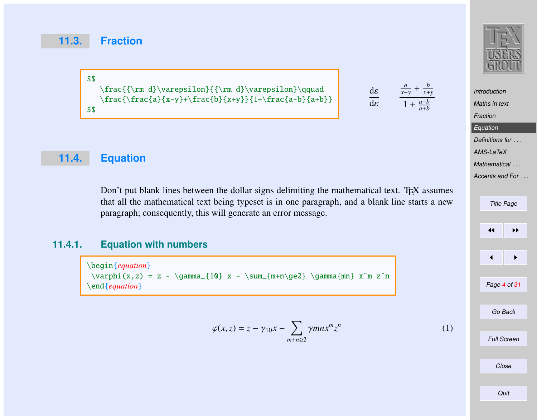#### <span id="page-3-0"></span>**11.3. Fraction**

\$\$ \frac{{\rm d}\varepsilon}{{\rm d}\varepsilon}\qquad  $\frac{\frac{a}{x-y}+\frac{b}{x+y}}{1+\frac{a-b}{a+b}}$ \$\$

dε dε  $\frac{a}{x-y}$  +  $\frac{b}{x+y}$  $1 + \frac{a-b}{a+b}$ 

**[Introduction](#page-1-0)** [Maths in text](#page-2-0) Fraction **Equation** [Definitions for](#page-9-0) ... [AMS-LaTeX](#page-10-0) [Mathematical](#page-19-0) ... [Accents and For](#page-29-0) ... Title Page

 $\leftarrow$ 

Page 4 of 31

Go Back

 $\blacktriangleleft$ 

# **11.4. Equation**

Don't put blank lines between the dollar signs delimiting the mathematical text. T $EX$  assumes that all the mathematical text being typeset is in one paragraph, and a blank line starts a new paragraph; consequently, this will generate an error message.

#### **11.4.1. Equation with numbers**

\begin{*equation*}  $\varphi(x, z) = z - \gamma_{10} x - \sum_{m+n\ge2} \gamma_{mn} x^m z^n$ \end{*equation*}

$$
\varphi(x,z) = z - \gamma_{10}x - \sum_{m+n \ge 2} \gamma mn x^m z^n \tag{1}
$$

Full Screen

Close

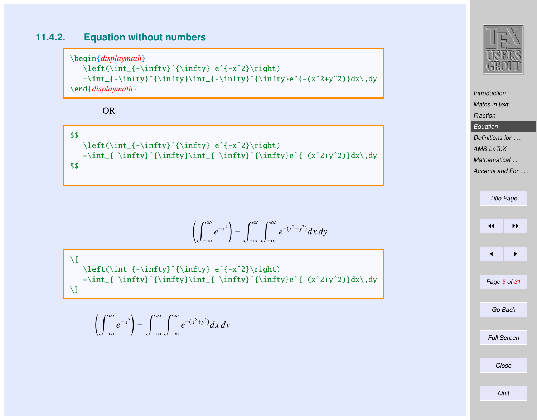#### **11.4.2. Equation without numbers**

\begin{*displaymath*} \left(\int\_{-\infty}ˆ{\infty} eˆ{-xˆ2}\right)  $=\int_{-\infty}^{\infty}\int_{-\infty}^{\infty}^{\infty}^{-\infty}e^{-(x^2+y^2)}dx\,dy$ \end{*displaymath*}

OR

\$\$ \left(\int\_{-\infty}ˆ{\infty} eˆ{-xˆ2}\right) =\int\_{-\infty}ˆ{\infty}\int\_{-\infty}ˆ{\infty}eˆ{-(xˆ2+yˆ2)}dx\,dy \$\$

$$
\left(\int_{-\infty}^{\infty} e^{-x^2}\right) = \int_{-\infty}^{\infty} \int_{-\infty}^{\infty} e^{-(x^2+y^2)} dx dy
$$

 $\chi$ [ \left(\int\_{-\infty}ˆ{\infty} eˆ{-xˆ2}\right)  $=\int_{- \infty}^{\infty}\int_{- \infty}^{\infty}^{\infty}e^{-(x^2+y^2)}dx\,dy$  $\setminus$ ]

$$
\left(\int_{-\infty}^{\infty} e^{-x^2}\right) = \int_{-\infty}^{\infty} \int_{-\infty}^{\infty} e^{-(x^2+y^2)} dx dy
$$



**[Introduction](#page-1-0)** [Maths in text](#page-2-0) [Fraction](#page-3-0) [Equation](#page-3-0) [Definitions for](#page-9-0) ... [AMS-LaTeX](#page-10-0) [Mathematical](#page-19-0) ... [Accents and For](#page-29-0) . . .

| <b>Title Page</b> |                    |  |  |  |  |
|-------------------|--------------------|--|--|--|--|
|                   |                    |  |  |  |  |
| ◀◀                | ▶▶                 |  |  |  |  |
|                   |                    |  |  |  |  |
| ◀                 | ▶                  |  |  |  |  |
|                   |                    |  |  |  |  |
| Page 5 of 31      |                    |  |  |  |  |
|                   |                    |  |  |  |  |
|                   | Go Back            |  |  |  |  |
|                   |                    |  |  |  |  |
|                   | <b>Full Screen</b> |  |  |  |  |
|                   |                    |  |  |  |  |
|                   | Close              |  |  |  |  |
|                   |                    |  |  |  |  |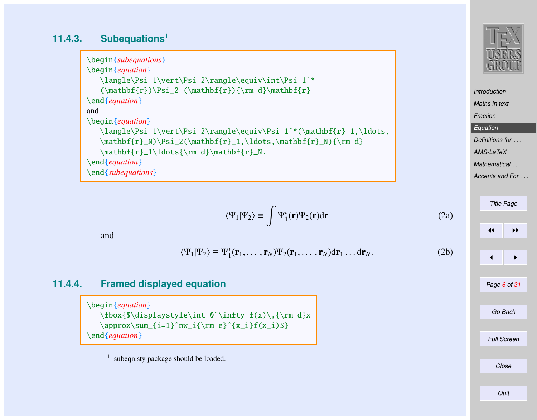### **11.4.3. Subequations**<sup>1</sup>

```
\begin{subequations}
\begin{equation}
   \langle\Psi_1\vert\Psi_2\rangle\equiv\int\Psi_1ˆ*
   (\mathbf{r})\Psi_2 (\mathbf{r}){\rm d}\mathbf{r}\end{equation}
and
\begin{equation}
   \langle\Psi_1\vert\Psi_2\rangle\equiv\Psi_1ˆ*(\mathbf{r}_1,\ldots,
   \mathbf{r}_N)\Psi_2(\mathbf{r}_1,\ldots,\mathbf{r}_N){\rm d}\mathbf{r}_1\ldots{\rm d}\mathbf{r}_N.
\end{equation}
\end{subequations}
```

$$
\langle \Psi_1 | \Psi_2 \rangle \equiv \int \Psi_1^*(\mathbf{r}) \Psi_2(\mathbf{r}) d\mathbf{r}
$$
 (2a)

and

$$
\langle \Psi_1 | \Psi_2 \rangle \equiv \Psi_1^* (\mathbf{r}_1, \dots, \mathbf{r}_N) \Psi_2 (\mathbf{r}_1, \dots, \mathbf{r}_N) d\mathbf{r}_1 \dots d\mathbf{r}_N. \tag{2b}
$$

#### **11.4.4. Framed displayed equation**

\begin{*equation*} \fbox{\$\displaystyle\int\_0ˆ\infty f(x)\,{\rm d}x  $\approx\sum_{i=1}^n w_i {\rm e}^{x_i}f(x_i)$ \end{*equation*}



[Maths in text](#page-2-0) [Fraction](#page-3-0) **[Equation](#page-3-0)** [Definitions for](#page-9-0) ...  $AMS-I$ <sub>a</sub>TeX [Mathematical](#page-19-0) ...

[Introduction](#page-1-0)

[Accents and For](#page-29-0) ...

```
Title Page
\left| \cdot \right|\leftarrow \rightarrowPage 6 of 31
  Go Back
Full Screen
    Close
```
<sup>1</sup> subeqn.sty package should be loaded.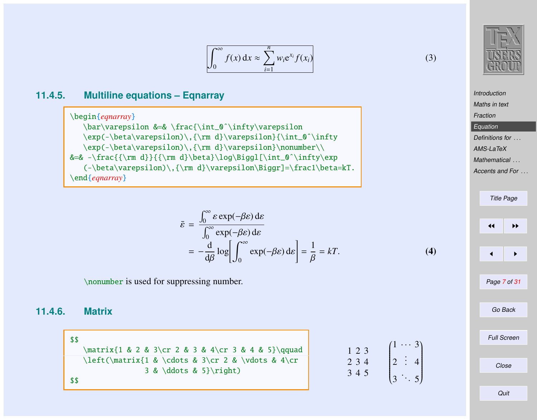$$
\int_0^\infty f(x) \, \mathrm{d}x \approx \sum_{i=1}^n w_i \mathrm{e}^{x_i} f(x_i) \tag{3}
$$

### **11.4.5. Multiline equations – Eqnarray**

\begin{*eqnarray*} \bar\varepsilon &=& \frac{\int\_0ˆ\infty\varepsilon \exp(-\beta\varepsilon)\,{\rm d}\varepsilon}{\int\_0ˆ\infty \exp(-\beta\varepsilon)\,{\rm d}\varepsilon}\nonumber\\ &=& -\frac{{\rm d}}{{\rm d}\beta}\log\Biggl[\int\_0^\infty\exp  $(-\beta\varepsilon)\$ ,  $\rm d}\varepsilon$ ion\Biggr]=\frac1\beta=kT. \end{*eqnarray*}

$$
\bar{\varepsilon} = \frac{\int_0^\infty \varepsilon \exp(-\beta \varepsilon) \, \mathrm{d}\varepsilon}{\int_0^\infty \exp(-\beta \varepsilon) \, \mathrm{d}\varepsilon} = -\frac{\mathrm{d}}{\mathrm{d}\beta} \log \left[ \int_0^\infty \exp(-\beta \varepsilon) \, \mathrm{d}\varepsilon \right] = \frac{1}{\beta} = kT. \tag{4}
$$

\nonumber is used for suppressing number.

#### **11.4.6. Matrix**

\$\$  $\matrix{1 & 2 & 3\\cr 2 & 3 & 4\\cr 3 & 4 & 5}\qquad\qquad$ \left(\matrix{1 & \cdots & 3\cr 2 & \vdots & 4\cr 3 & \ddots & 5}\right) \$\$

| 123   | $\int_0^1$ |             |
|-------|------------|-------------|
| 2 3 4 | 2:         |             |
| 3 4 5 |            | $\vert_3$ . |

3

 $\overline{\phantom{a}}$ 

 $\begin{array}{c} \hline \end{array}$ 

 $\overline{\mathcal{A}}$ 

. 5



**[Introduction](#page-1-0)** [Maths in text](#page-2-0) [Fraction](#page-3-0) **[Equation](#page-3-0)** [Definitions for](#page-9-0) ...  $AMS-I$ <sub>a</sub>TeX **[Mathematical](#page-19-0)** [Accents and For](#page-29-0) ... Title Page

> $\left\vert \right\vert$  iii  $\blacktriangleleft$ Page 7 of 31 Go Back Full Screen Close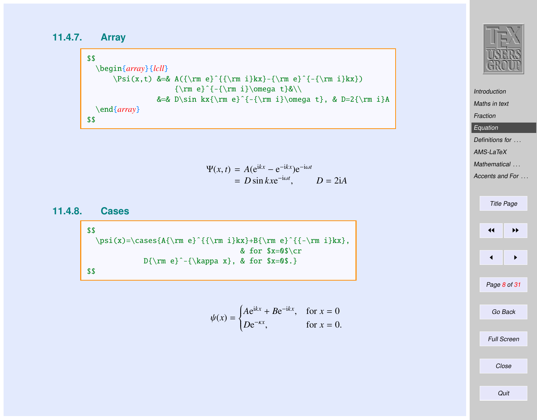**11.4.7. Array**

\$\$ \begin{*array*}{*lcll*}  $\Psi(x,t)$  &=& A({\rm e}^{{\rm i}kx}-{\rm e}^{-{\rm i}kx})  ${\rm e}^{(-{\rm i}\omega t}$ &=& D\sin kx{\rm e}ˆ{-{\rm i}\omega t}, & D=2{\rm i}A \end{*array*} \$\$

$$
\Psi(x, t) = A(e^{ikx} - e^{-ikx})e^{-i\omega t}
$$
  
=  $D \sin kxe^{-i\omega t}$ ,  $D = 2iA$ 

**11.4.8. Cases**

\$\$ \psi(x)=\cases{A{\rm e}ˆ{{\rm i}kx}+B{\rm e}ˆ{{-\rm i}kx}, & for \$x=0\$\cr D{\rm e}ˆ-{\kappa x}, & for \$x=0\$.} \$\$

$$
\psi(x) = \begin{cases} A e^{ikx} + B e^{-ikx}, & \text{for } x = 0\\ D e^{-\kappa x}, & \text{for } x = 0. \end{cases}
$$



[Introduction](#page-1-0) [Maths in text](#page-2-0) [Fraction](#page-3-0) [Equation](#page-3-0) [Definitions for](#page-9-0) ... [AMS-LaTeX](#page-10-0) [Mathematical](#page-19-0) ... [Accents and For](#page-29-0) ... Title Page  $\left| \cdot \right|$  $\blacksquare$ Page 8 of 31 Go Back Full Screen

Close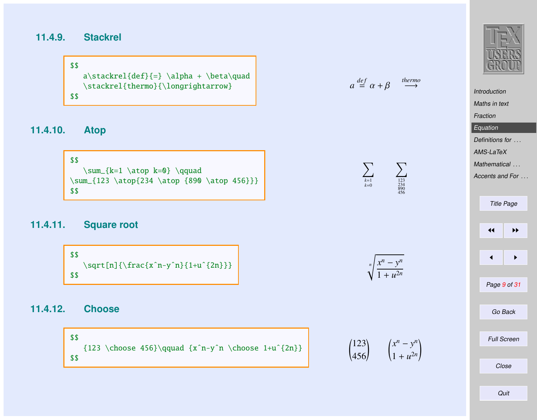### **11.4.9. Stackrel**

\$\$  $a\stackrel{\text{def}}{=} \alpha + \beta\quad$ \stackrel{thermo}{\longrightarrow} \$\$

## **11.4.10. Atop**

\$\$ \sum\_{k=1 \atop k=0} \qquad \sum\_{123 \atop{234 \atop {890 \atop 456}}} \$\$

#### **11.4.11. Square root**

\$\$ \sqrt[n]{\frac{xˆn-yˆn}{1+uˆ{2n}}} \$\$

#### **11.4.12. Choose**

\$\$  ${123 \hbox{6}}\qquad {x^n-y^n \hbox{2n}}$ 





 $\nabla$ 





!



| <b>Introduction</b> |                      |                    |  |  |  |  |  |
|---------------------|----------------------|--------------------|--|--|--|--|--|
| Maths in text       |                      |                    |  |  |  |  |  |
|                     | Fraction             |                    |  |  |  |  |  |
|                     | Equation             |                    |  |  |  |  |  |
|                     | Definitions for      |                    |  |  |  |  |  |
|                     | AMS-LaTeX            |                    |  |  |  |  |  |
|                     | Mathematical         |                    |  |  |  |  |  |
|                     | Accents and For.     |                    |  |  |  |  |  |
|                     |                      |                    |  |  |  |  |  |
|                     |                      | <b>Title Page</b>  |  |  |  |  |  |
|                     |                      |                    |  |  |  |  |  |
|                     | $\blacktriangleleft$ | ▶▶                 |  |  |  |  |  |
|                     |                      |                    |  |  |  |  |  |
|                     | ◀                    | ▶                  |  |  |  |  |  |
|                     |                      |                    |  |  |  |  |  |
|                     |                      |                    |  |  |  |  |  |
|                     | Page 9 of 31         |                    |  |  |  |  |  |
|                     |                      |                    |  |  |  |  |  |
|                     | Go Back              |                    |  |  |  |  |  |
|                     |                      |                    |  |  |  |  |  |
|                     |                      | <b>Full Screen</b> |  |  |  |  |  |
|                     |                      |                    |  |  |  |  |  |
|                     |                      | Close              |  |  |  |  |  |
|                     |                      |                    |  |  |  |  |  |
|                     |                      |                    |  |  |  |  |  |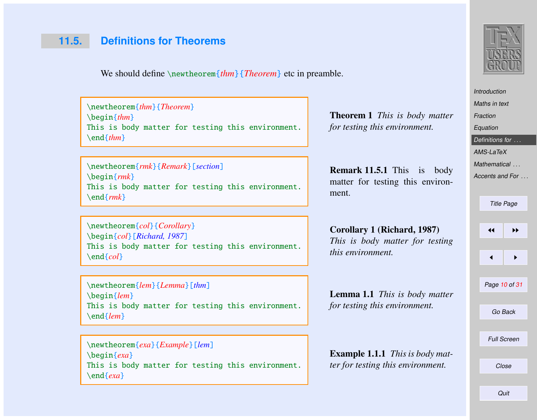# <span id="page-9-0"></span>**11.5. Definitions for Theorems**

We should define \newtheorem{*thm*}{*Theorem*} etc in preamble.

\newtheorem{*thm*}{*Theorem*} \begin{*thm*} This is body matter for testing this environment. \end{*thm*}

\newtheorem{*rmk*}{*Remark*}[*section*] \begin{*rmk*} This is body matter for testing this environment. \end{*rmk*}

\newtheorem{*col*}{*Corollary*} \begin{*col*}[*Richard, 1987*] This is body matter for testing this environment. \end{*col*}

\newtheorem{*lem*}{*Lemma*}[*thm*] \begin{*lem*} This is body matter for testing this environment. \end{*lem*}

\newtheorem{*exa*}{*Example*}[*lem*] \begin{*exa*} This is body matter for testing this environment. \end{*exa*}

Theorem 1 *This is body matter for testing this environment.*

Remark 11.5.1 This is body matter for testing this environment.

Corollary 1 (Richard, 1987) *This is body matter for testing this environment.*

Lemma 1.1 *This is body matter for testing this environment.*

Example 1.1.1 *This is body matter for testing this environment.*



[Maths in text](#page-2-0) **[Fraction](#page-3-0)** [Equation](#page-3-0) Definitions for ...  $AMS-I$ <sub>a</sub>TeX [Mathematical](#page-19-0) ... [Accents and For](#page-29-0)

[Introduction](#page-1-0)

Title Page

 $\left| \cdot \right|$ 

 $\blacktriangleleft$ 

Page 10 of 31

Go Back

Full Screen

Close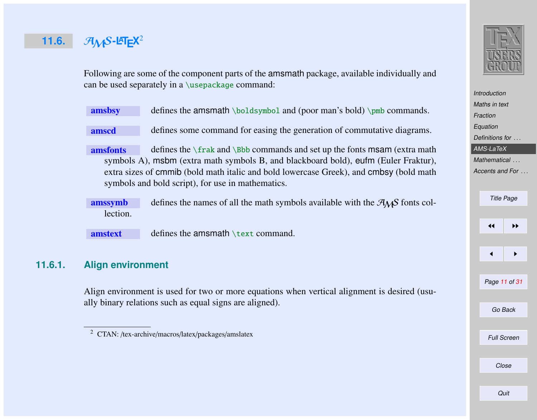# <span id="page-10-0"></span>**11.6.**  $\mathcal{A}_{\mathcal{M}}$ S-L<sup>T</sup>E<sup>X<sup>2</sup></sup>

**[Introduction](#page-1-0)** [Maths in text](#page-2-0) **[Fraction](#page-3-0) [Equation](#page-3-0)** [Definitions for](#page-9-0) ... AMS-LaTeX [Mathematical](#page-19-0) ... [Accents and For](#page-29-0) ... Title Page

 $\left| \cdot \right|$  $\overline{\phantom{a}}$ Page 11 of 31 Go Back

Close

**Quit** 

Full Screen

Following are some of the component parts of the amsmath package, available individually and can be used separately in a \usepackage command:

| amsbsy | defines the amsmath $\boldsymbol{\infty}$ and (poor man's bold) $\boldsymbol{\infty}$ commands. |
|--------|-------------------------------------------------------------------------------------------------|
|        |                                                                                                 |

amscd defines some command for easing the generation of commutative diagrams.

**amsfonts** defines the  $\frac{\text{r}}{\text{b}}$  commands and set up the fonts msam (extra math symbols A), msbm (extra math symbols B, and blackboard bold), eufm (Euler Fraktur), extra sizes of cmmib (bold math italic and bold lowercase Greek), and cmbsy (bold math symbols and bold script), for use in mathematics.

**amssymb** defines the names of all the math symbols available with the  $\mathcal{A}_{\mathcal{M}}$ S fonts collection.

 $amstext$  defines the amsmath  $\text{text command}$ .

### **11.6.1. Align environment**

Align environment is used for two or more equations when vertical alignment is desired (usually binary relations such as equal signs are aligned).

<sup>2</sup> CTAN: /tex-archive/macros/latex/packages/amslatex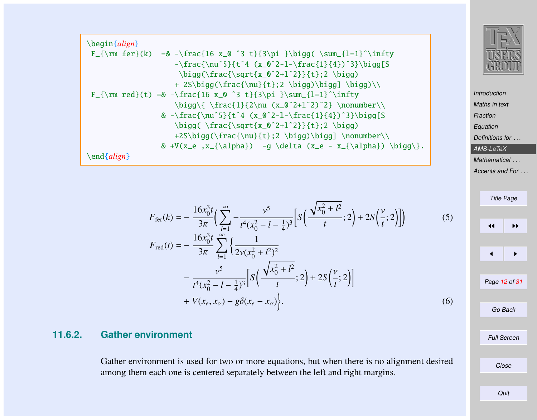

[Introduction](#page-1-0) [Maths in text](#page-2-0) [Fraction](#page-3-0) [Equation](#page-3-0) [Definitions for](#page-9-0) ... [AMS-LaTeX](#page-10-0) [Mathematical](#page-19-0) ...

[Accents and For](#page-29-0) ...

Title Page  $\left\vert \left\langle \mathbf{H}\right\rangle \right\vert$  is the set of  $\mathbf{H}$  $\blacktriangleleft$ Page 12 of 31 Go Back Full Screen Close

\begin{*align*} F\_{\rm fer}(k) =& -\frac{16 x\_0 ˆ3 t}{3\pi }\bigg( \sum\_{l=1}ˆ\infty -\frac{\nuˆ5}{tˆ4 (x\_0ˆ2-l-\frac{1}{4})ˆ3}\bigg[S \bigg(\frac{\sqrt{x\_0ˆ2+lˆ2}}{t};2 \bigg) + 2S\bigg(\frac{\nu}{t};2 \bigg)\bigg] \bigg)\\ F\_{\rm red}(t) =& -\frac{16 x\_0 ˆ3 t}{3\pi }\sum\_{l=1}ˆ\infty \bigg\{ \frac{1}{2\nu (x\_0ˆ2+lˆ2)ˆ2} \nonumber\\ & -\frac{\nuˆ5}{tˆ4 (x\_0ˆ2-l-\frac{1}{4})ˆ3}\bigg[S \bigg( \frac{\sqrt{x\_0ˆ2+lˆ2}}{t};2 \bigg) +2S\bigg(\frac{\nu}{t};2 \bigg)\bigg] \nonumber\\ & +V(x\_e ,x\_{\alpha}) -g \delta (x\_e - x\_{\alpha}) \bigg\}. \end{*align*}

$$
F_{\text{fer}}(k) = -\frac{16x_0^3t}{3\pi} \Big( \sum_{l=1}^{\infty} -\frac{v^5}{t^4(x_0^2 - l - \frac{1}{4})^3} \Big[ S\Big(\frac{\sqrt{x_0^2 + l^2}}{t}; 2\Big) + 2S\Big(\frac{v}{t}; 2\Big) \Big] \Big) \tag{5}
$$
  

$$
F_{\text{ext}}(t) = -\frac{16x_0^3t}{t^4} \sum_{l=1}^{\infty} \Big( \frac{1}{t^2 + l^2} + 2\Big) \Big( \frac{1}{t^2 + l^2} + \frac{1}{4} \sum_{l=1}^{\infty} \Big( \frac{1}{t^2 + l^2} + \frac{1}{4} \sum_{l=1}^{\infty} \Big( \frac{1}{t^2 + l^2} + \frac{1}{4} \sum_{l=1}^{\infty} \Big( \frac{1}{t^2 + l^2} + \frac{1}{4} \sum_{l=1}^{\infty} \Big( \frac{1}{t^2 + l^2} + \frac{1}{4} \sum_{l=1}^{\infty} \Big( \frac{1}{t^2 + l^2} + \frac{1}{4} \sum_{l=1}^{\infty} \Big( \frac{1}{t^2 + l^2} + \frac{1}{4} \sum_{l=1}^{\infty} \Big( \frac{1}{t^2 + l^2} + \frac{1}{4} \sum_{l=1}^{\infty} \Big( \frac{1}{t^2 + l^2} + \frac{1}{4} \sum_{l=1}^{\infty} \Big( \frac{1}{t^2 + l^2} + \frac{1}{4} \sum_{l=1}^{\infty} \Big( \frac{1}{t^2 + l^2} + \frac{1}{4} \sum_{l=1}^{\infty} \Big( \frac{1}{t^2 + l^2} + \frac{1}{4} \sum_{l=1}^{\infty} \Big( \frac{1}{t^2 + l^2} + \frac{1}{4} \sum_{l=1}^{\infty} \Big( \frac{1}{t^2 + l^2} + \frac{1}{4} \sum_{l=1}^{\infty} \Big( \frac{1}{t^2 + l^2} + \frac{1}{4} \sum_{l=1}^{\infty} \Big( \frac{1}{t^2 + l^2} + \frac
$$

$$
F_{\text{red}}(t) = -\frac{16x_0^3t}{3\pi} \sum_{l=1}^{\infty} \left\{ \frac{1}{2\nu(x_0^2 + l^2)^2} - \frac{v^5}{44(x^2 - l - \frac{1}{2})^3} \left[ S\left(\frac{\sqrt{x_0^2 + l^2}}{t}; 2\right) + 2S\left(\frac{v}{t}; 2\right) \right] \right\}
$$

$$
t^{4}(x_{0}^{2}-l-\frac{1}{4})^{3}\begin{bmatrix}t^{2}(t+1)^{2}-2(1-t)^{2}(t^{2}-l^{2})\\+V(x_{e},x_{\alpha})-g\delta(x_{e}-x_{\alpha})\end{bmatrix}.
$$
\n
$$
(6)
$$

#### **11.6.2. Gather environment**

Gather environment is used for two or more equations, but when there is no alignment desired among them each one is centered separately between the left and right margins.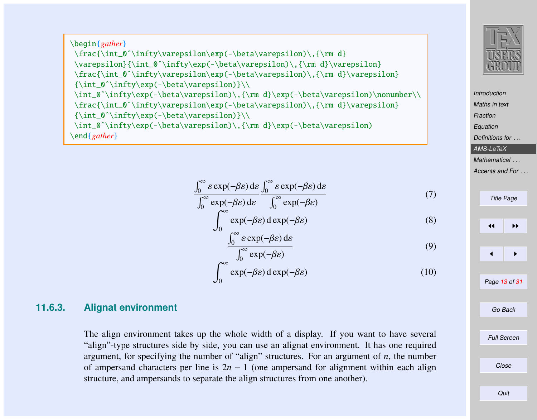\begin{*gather*} \frac{\int\_0^\infty\varepsilon\exp(-\beta\varepsilon)\,{\rm d} \varepsilon}{\int\_0ˆ\infty\exp(-\beta\varepsilon)\,{\rm d}\varepsilon} \frac{\int\_0ˆ\infty\varepsilon\exp(-\beta\varepsilon)\,{\rm d}\varepsilon} {\int\_0ˆ\infty\exp(-\beta\varepsilon)}\\ \int\_0ˆ\infty\exp(-\beta\varepsilon)\,{\rm d}\exp(-\beta\varepsilon)\nonumber\\ \frac{\int\_0ˆ\infty\varepsilon\exp(-\beta\varepsilon)\,{\rm d}\varepsilon} {\int\_0ˆ\infty\exp(-\beta\varepsilon)}\\ \int\_0ˆ\infty\exp(-\beta\varepsilon)\,{\rm d}\exp(-\beta\varepsilon) \end{*gather*}

$$
\frac{\int_0^\infty \varepsilon \exp(-\beta \varepsilon) \, \mathrm{d}\varepsilon}{\int_0^\infty \exp(-\beta \varepsilon) \, \mathrm{d}\varepsilon} \frac{\int_0^\infty \varepsilon \exp(-\beta \varepsilon) \, \mathrm{d}\varepsilon}{\int_0^\infty \exp(-\beta \varepsilon)}
$$

$$
\int_0^\infty \exp(-\beta \varepsilon) \, d \exp(-\beta \varepsilon) \tag{8}
$$

$$
\frac{\int_0^\infty \varepsilon \exp(-\beta \varepsilon) \, \mathrm{d}\varepsilon}{\int_0^\infty \exp(-\beta \varepsilon)}\tag{9}
$$

$$
\int_0^\infty \exp(-\beta \varepsilon) \, d \exp(-\beta \varepsilon) \tag{10}
$$

#### **11.6.3. Alignat environment**

The align environment takes up the whole width of a display. If you want to have several "align"-type structures side by side, you can use an alignat environment. It has one required argument, for specifying the number of "align" structures. For an argument of *n*, the number of ampersand characters per line is  $2n - 1$  (one ampersand for alignment within each align structure, and ampersands to separate the align structures from one another).



[Maths in text](#page-2-0) **[Fraction](#page-3-0)** [Equation](#page-3-0) [Definitions for](#page-9-0) [AMS-LaTeX](#page-10-0) **[Mathematical](#page-19-0)** [Accents and For](#page-29-0)

(7)

**[Introduction](#page-1-0)** 

Title Page JJ II J I Page 13 of 31 Go Back Full Screen Close Quit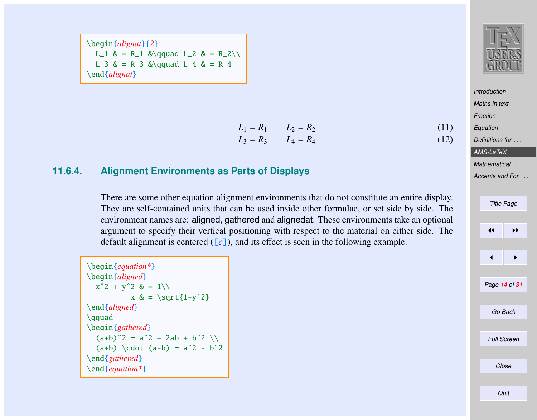\begin{*alignat*}{*2*} L\_1 & = R\_1 &\qquad L\_2 & = R\_2\\ L\_3 & = R\_3 &\qquad L\_4 & = R\_4 \end{*alignat*}



**[Introduction](#page-1-0)** [Maths in text](#page-2-0) **[Fraction](#page-3-0)** [Equation](#page-3-0) [Definitions for](#page-9-0) ... [AMS-LaTeX](#page-10-0) [Mathematical](#page-19-0) ...

[Accents and For](#page-29-0) ...

|    | <b>Title Page</b>  |  |  |  |  |  |
|----|--------------------|--|--|--|--|--|
|    |                    |  |  |  |  |  |
| ◀◀ | ▶▶                 |  |  |  |  |  |
|    |                    |  |  |  |  |  |
| ◀  | ▶                  |  |  |  |  |  |
|    |                    |  |  |  |  |  |
|    | Page 14 of 31      |  |  |  |  |  |
|    |                    |  |  |  |  |  |
|    | Go Back            |  |  |  |  |  |
|    |                    |  |  |  |  |  |
|    | <b>Full Screen</b> |  |  |  |  |  |
|    |                    |  |  |  |  |  |
|    | Close              |  |  |  |  |  |
|    |                    |  |  |  |  |  |

#### **11.6.4. Alignment Environments as Parts of Displays**

There are some other equation alignment environments that do not constitute an entire display. They are self-contained units that can be used inside other formulae, or set side by side. The environment names are: aligned, gathered and alignedat. These environments take an optional argument to specify their vertical positioning with respect to the material on either side. The default alignment is centered  $([c])$ , and its effect is seen in the following example.

 $L_1 = R_1$   $L_2 = R_2$  (11)  $L_3 = R_3$   $L_4 = R_4$  (12)

| $\begin{bmatrix} \text{equation*} \end{bmatrix}$ |
|--------------------------------------------------|
| \begin{aligned}                                  |
| $x^2 + y^2 = 1$                                  |
| $x \&= \sqrt{1-y^2}$                             |
| $\end{aligned}$                                  |
| \gguad                                           |
| $\begin{bmatrix}$ \begin{ <i>gathered</i> }      |
| $(a+b)^2 = a^2 + 2ab + b^2$                      |
| $(a+b) \cdot (a-b) = a^2 - b^2$                  |
| \end{ <i>gathered</i> }                          |
| \end{ <i>equation</i> *}                         |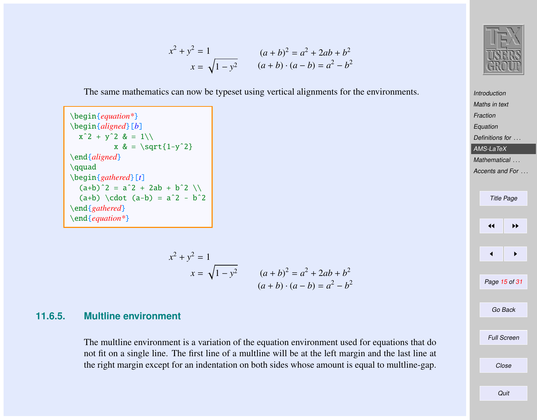$$
x^{2} + y^{2} = 1
$$
  
\n
$$
x = \sqrt{1 - y^{2}}
$$
  
\n
$$
(a + b)^{2} = a^{2} + 2ab + b^{2}
$$
  
\n
$$
(a + b) \cdot (a - b) = a^{2} - b^{2}
$$

The same mathematics can now be typeset using vertical alignments for the environments.

```
\begin{equation*}
\begin{aligned}[b]
 x^2 + y^2 = 2 \& = 1 \&x \&= \sqrt{1-y^2}\end{aligned}
\qquad
\begin{gathered}[t]
  (a+b)^2 = a^2 + 2ab + b^2(a+b) \cdot (a-b) = a^2 - b^2\end{gathered}
\end{equation*}
```

$$
x^{2} + y^{2} = 1
$$
  

$$
x = \sqrt{1 - y^{2}}
$$
  

$$
(a + b)^{2} = a^{2} + 2ab + b^{2}
$$
  

$$
(a + b) \cdot (a - b) = a^{2} - b^{2}
$$

#### **11.6.5. Multline environment**

The multline environment is a variation of the equation environment used for equations that do not fit on a single line. The first line of a multline will be at the left margin and the last line at the right margin except for an indentation on both sides whose amount is equal to multline-gap.



**[Introduction](#page-1-0)** 

[Maths in text](#page-2-0) [Fraction](#page-3-0) [Equation](#page-3-0) [Definitions for](#page-9-0) ... [AMS-LaTeX](#page-10-0) [Mathematical](#page-19-0) ... [Accents and For](#page-29-0) ... Title Page  $\left\vert \right\vert$  iii  $\blacktriangleleft$ Page 15 of 31 Go Back Full Screen Close **Quit**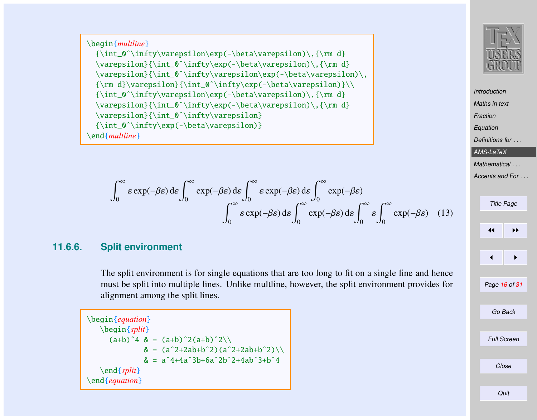\begin{*multline*}  ${\int_0^\infty\varphi\exp(-\beta\varphi)\}, {\rm d}$ \varepsilon}{\int\_0ˆ\infty\exp(-\beta\varepsilon)\,{\rm d} \varepsilon}{\int\_0ˆ\infty\varepsilon\exp(-\beta\varepsilon)\, {\rm d}\varepsilon}{\int\_0ˆ\infty\exp(-\beta\varepsilon)}\\  ${\int_0^\infty\varepsilon\, \exp(-\beta\varepsilon)\, , {\rm d} \}$ \varepsilon}{\int\_0^\infty\exp(-\beta\varepsilon)\,{\rm d} \varepsilon}{\int\_0ˆ\infty\varepsilon} {\int\_0ˆ\infty\exp(-\beta\varepsilon)} \end{*multline*}

$$
\int_0^\infty \varepsilon \exp(-\beta \varepsilon) \, d\varepsilon \int_0^\infty \exp(-\beta \varepsilon) \, d\varepsilon \int_0^\infty \varepsilon \exp(-\beta \varepsilon) \, d\varepsilon \int_0^\infty \exp(-\beta \varepsilon) \, d\varepsilon \int_0^\infty \varepsilon \exp(-\beta \varepsilon) \, d\varepsilon \int_0^\infty \varepsilon \int_0^\infty \varepsilon \exp(-\beta \varepsilon) \tag{13}
$$

#### **11.6.6. Split environment**

The split environment is for single equations that are too long to fit on a single line and hence must be split into multiple lines. Unlike multline, however, the split environment provides for alignment among the split lines.

\begin{*equation*} \begin{*split*}  $(a+b)^4 & = (a+b)^2(a+b)^2\lambda$  $& = (a^2+2ab+b^2)(a^2+2ab+b^2)$  $& = a^4 + 4a^3 + 6a^2b^2 + 4ab^3 + b^4$ \end{*split*} \end{*equation*}



**[Introduction](#page-1-0)** [Maths in text](#page-2-0)

[Fraction](#page-3-0) [Equation](#page-3-0) [Definitions for](#page-9-0) ... [AMS-LaTeX](#page-10-0) [Mathematical](#page-19-0) ... [Accents and For](#page-29-0) ... Title Page

 $\leftarrow$ 

 $\blacktriangleleft$ 

Go Back

Page 16 of 31

Full Screen

Close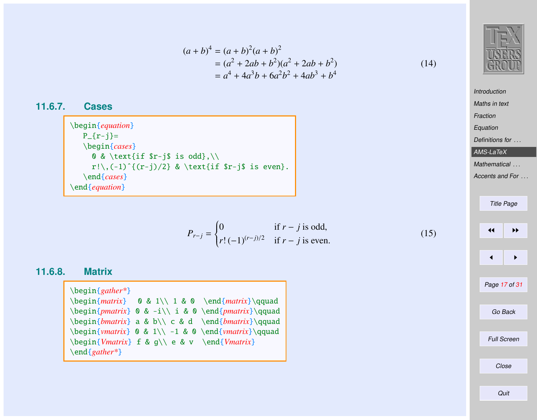$$
(a + b)4 = (a + b)2(a + b)2
$$
  
= (a<sup>2</sup> + 2ab + b<sup>2</sup>)(a<sup>2</sup> + 2ab + b<sup>2</sup>)  
= a<sup>4</sup> + 4a<sup>3</sup>b + 6a<sup>2</sup>b<sup>2</sup> + 4ab<sup>3</sup> + b<sup>4</sup> (14)

$$
\begin{array}{|c|} \hline \text{TRM} \\ \hline \text{USBRS} \\ \hline \text{GROUP} \end{array}
$$

[Maths in text](#page-2-0) [Fraction](#page-3-0) [Equation](#page-3-0) [Definitions for](#page-9-0) ... [AMS-LaTeX](#page-10-0) [Mathematical](#page-19-0) ... [Accents and For](#page-29-0) ...

[Introduction](#page-1-0)

Title Page  $\left\| \cdot \right\|$  $\leftarrow$   $\rightarrow$ Page 17 of 31 Go Back Full Screen Close

(15)

# \begin{*cases*} 0 & \text{if \$r-j\$ is odd},\\  $r!\setminus$ ,(-1)^{(r-j)/2} & \text{if \$r-j\$ is even}.

$$
P_{r-j} = \begin{cases} 0 & \text{if } r - j \text{ is odd,} \\ r! \, (-1)^{(r-j)/2} & \text{if } r - j \text{ is even.} \end{cases}
$$

#### **11.6.8. Matrix**

**11.6.7. Cases**

\begin{*equation*}  $P_{f}r-j}=$ 

\end{*cases*} \end{*equation*}

| $\begin{bmatrix}$ begin{ <i>gather</i> <sup>*}</sup> |                                                                        |                                                                                   |
|------------------------------------------------------|------------------------------------------------------------------------|-----------------------------------------------------------------------------------|
|                                                      |                                                                        | $\begin{array}{ccc} 0 & 1 \1 & 0 \end{array}$ aquad                               |
|                                                      |                                                                        | \begin{ <i>pmatrix</i> } $\& -i \i& 0 \end{pmatrix}$ \end{ <i>pmatrix</i> }\gquad |
|                                                      |                                                                        | \begin{bmatrix} a & b\\ c & d \end{bmatrix}\qquad                                 |
|                                                      |                                                                        | \begin{ <i>vmatrix</i> } 0 & 1\\ -1 & 0 \end{ <i>vmatrix</i> }\gquad              |
|                                                      | $\begin{array}{cc} \begin{array}{cc} f & g \\ \end{array} \end{array}$ |                                                                                   |
| $\end{sqrt}$                                         |                                                                        |                                                                                   |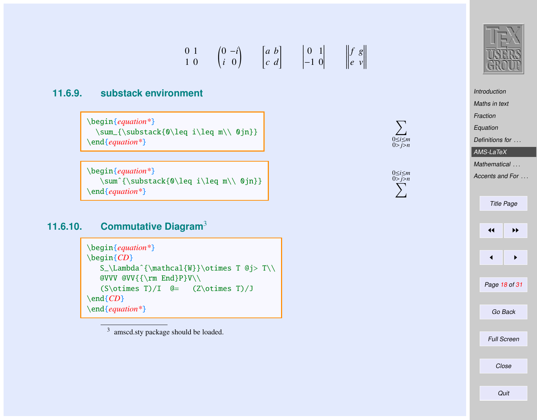$$
\begin{array}{ccc}\n0 & 1 & (0 & -i) \\
1 & 0 & (i & 0)\n\end{array}\n\qquad\n\begin{bmatrix}\na & b \\
c & d\n\end{bmatrix}\n\qquad\n\begin{bmatrix}\n0 & 1 \\
-1 & 0\n\end{bmatrix}\n\qquad\n\begin{bmatrix}\nf & g \\
e & v\n\end{bmatrix}
$$

#### **11.6.9. substack environment**

\begin{*equation\**} \sum\_{\substack{0\leq i\leq m\\ 0jn}} \end{*equation\**}

\begin{*equation\**} \sumˆ{\substack{0\leq i\leq m\\ 0jn}} \end{*equation\**}

#### **11.6.10. Commutative Diagram**<sup>3</sup>

\begin{*equation\**} \begin{*CD*} S\_\Lambdaˆ{\mathcal{W}}\otimes T @j> T\\ @VVV @VV{{\rm End}P}V\\  $(S\otimes T)/I$  @=  $(Z\otimes T)/J$ \end{*CD*} \end{*equation\**}

<sup>3</sup> amscd.sty package should be loaded.





 $\nabla$ 0≤*i*≤*m* 0>*j*>*n*

0≤*i*≤*m* 0 X>*j*>*n*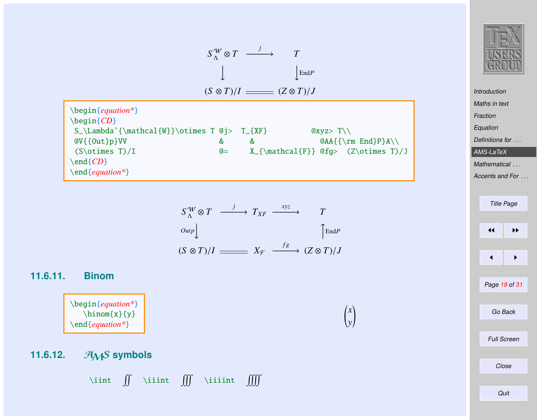

$$
S_{\Lambda}^{W} \otimes T \xrightarrow{j} T_{XF} \xrightarrow{xyz} T
$$
  
\n
$$
Out_{P} \downarrow \qquad \qquad \uparrow \text{End}_{P}
$$
  
\n
$$
(S \otimes T)/I \xrightarrow{fg} (Z \otimes T)/J
$$

 $\left(x\right)$ *y*

#### **11.6.11. Binom**

\begin{*equation\**}  $\binom{x}{y}$ \end{*equation\**}

**11.6.12.** *A<sub>M</sub>S* symbols

\iint  $\iint$  \iiint  $\iiint$  \iiiint  $\iiint$ 



**[Introduction](#page-1-0)** [Maths in text](#page-2-0) [Fraction](#page-3-0) [Equation](#page-3-0) [Definitions for](#page-9-0) ... [AMS-LaTeX](#page-10-0) [Mathematical](#page-19-0) ... [Accents and For](#page-29-0) ... Title Page  $\left| \cdot \right|$ 

Page 19 of 31

 $\blacksquare$ 

Go Back

Full Screen

Close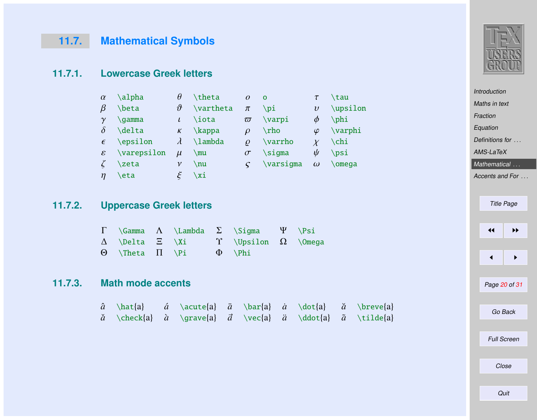# <span id="page-19-0"></span>**11.7. Mathematical Symbols**

#### **11.7.1. Lowercase Greek letters**

| $\alpha$      | \alpha    | $\theta$       | \theta           | $\overline{O}$ | $\mathbf 0$ |            | \tau       |
|---------------|-----------|----------------|------------------|----------------|-------------|------------|------------|
| $\beta$       | \beta     | υ <sup>γ</sup> | <b>\vartheta</b> | $\pi$          | \pi         | $\upsilon$ | $\upsilon$ |
| $\gamma$      | \qamma    | $\iota$        | \iota            | $\varpi$       | \varpi      | Φ          | $\phi$     |
| $\delta$      | \delta    | $\kappa$       | $\lambda$        | $\mathcal{O}$  | $\ln$       | $\varphi$  | \varphi    |
| $\epsilon$    | \epsilon  | $\lambda$      | <b>\lambda</b>   | $\mathcal{O}$  | \varrho     | $\chi$     | $\chi$ chi |
| $\mathcal{E}$ | $\varphi$ | $\mu$          | \mu              | $\sigma$       | $\sigma$    | $\psi$     | $\psi$     |
|               | \zeta     | $\mathcal V$   | $\nu$            | $\epsilon$     | $\varpi$    | $\omega$   | $\omega$   |
| $\eta$        | \eta      |                | \xi              |                |             |            |            |

#### **11.7.2. Uppercase Greek letters**

|  |                                       | $\Gamma$ \Gamma $\Lambda$ \Lambda $\Sigma$ \Sigma $\Psi$ \Psi |  |
|--|---------------------------------------|---------------------------------------------------------------|--|
|  |                                       | $\Delta$ \Delta $\Xi$ \Xi $\Upsilon$ \Upsilon $\Omega$ \Omega |  |
|  | $\Theta$ \Theta $\Pi$ \Pi $\Phi$ \Phi |                                                               |  |

## **11.7.3. Math mode accents**

|  |  |  |  | $\hat{a}$ \hat{a} $\hat{a}$ \acute{a} $\bar{a}$ \bar{a} $\hat{a}$ \dot{a} $\tilde{a}$ \breve{a}            |
|--|--|--|--|------------------------------------------------------------------------------------------------------------|
|  |  |  |  | $\check{a}$ \check{a} $\check{a}$ \grave{a} $\check{a}$ \vec{a} $\check{a}$ \ddot{a} $\tilde{a}$ \tilde{a} |



[Introduction](#page-1-0) [Maths in text](#page-2-0) [Fraction](#page-3-0) [Equation](#page-3-0) [Definitions for](#page-9-0) ... [AMS-LaTeX](#page-10-0) Mathematical ... [Accents and For](#page-29-0) ... Title Page

 $\left\| \cdot \right\|$ 

 $\leftarrow$   $\rightarrow$ 

Page 20 of 31

Go Back

Full Screen

Close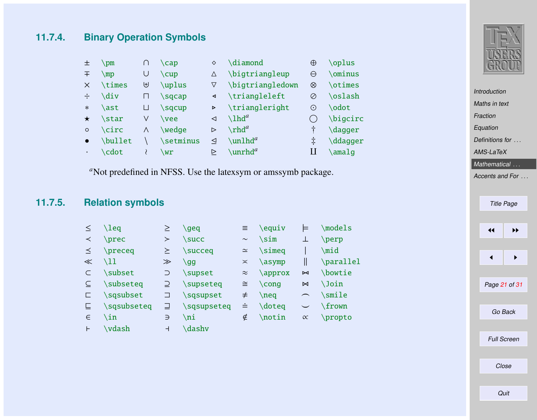### **11.7.4. Binary Operation Symbols**

| 土         | $\mathsf{pm}$ |          | $\cap$      | ♦                     | \diamond                       | $\oplus$ | \oplus                    |
|-----------|---------------|----------|-------------|-----------------------|--------------------------------|----------|---------------------------|
| 王         | $\mp$         | U        | \cup        | $\triangle$           | \bigtriangleup                 | θ        | \ominus                   |
| $\times$  | \times        | ⊎        | \uplus      | ∇                     | \bigtriangledown               | ⊗        | <b>\otimes</b>            |
| ÷         | <b>\div</b>   | П        | \sqcap      | ◀                     | \triangleleft                  | Ø        | \oslash                   |
| $\ast$    | \ast          | ⊔        | \sqcup      | $\blacktriangleright$ | \triangleright                 | ⊙        | \odot                     |
| ★         | \star         | V        | \vee        | ◁                     | $\lambda$ lhd <sup>a</sup>     |          | \bigcirc                  |
| $\circ$   | <b>\circ</b>  | $\wedge$ | \wedae      | $\triangleright$      | $\ch d^a$                      |          | $\langle$ dagger          |
| $\bullet$ | \bullet       |          | \setminus   | ◁                     | $\lvert \text{unlhd}^a \rvert$ | $\pm$    | $\ddot{\text{d}}$ ddagger |
| $\bullet$ | \cdot         |          | $\sqrt{wr}$ | ▷                     | $\sum$ hunrhd <sup>a</sup>     | Н        | \amalq                    |

<sup>a</sup>Not predefined in NFSS. Use the latexsym or amssymb package.

## **11.7.5. Relation symbols**

| ≤     | \leq        | ≥              | \geq          | Ξ.        | \equiv         | ᄐ         | \models   |
|-------|-------------|----------------|---------------|-----------|----------------|-----------|-----------|
| ≺     | \prec       | ≻              | \succ         | $\sim$    | \sim           | ⊥         | \perp     |
| ≤     | \preceq     | ≿              | \succeq       | $\simeq$  | \simeq         |           | \mid      |
| $\ll$ | \11         | $\gg$          | \gg           | $\asymp$  | $\sqrt{asymp}$ | II        | \parallel |
|       | \subset     | $\supset$      | \supset       | $\approx$ | \approx        | Σ         | \bowtie   |
|       | \subseteq   |                | \supseteq     | $\cong$   | $\cong$        | $\bowtie$ | \Join     |
| с.    | \sqsubset   | ⊐              | \sqsupset     | $\neq$    | $\neq$         | $\frown$  | \smile    |
|       | \sqsubseteq |                | \sqsupseteq   | ≐         | \doteq         |           | \frown    |
| $\in$ | \in         | $\Rightarrow$  | \ni           | ∉         | $\lambda$      | $\alpha$  | \propto   |
| Н     | \vdash      | $\overline{a}$ | <b>\dashv</b> |           |                |           |           |



[Introduction](#page-1-0) [Maths in text](#page-2-0) [Fraction](#page-3-0) [Equation](#page-3-0) [Definitions for](#page-9-0) ... [AMS-LaTeX](#page-10-0)

[Mathematical](#page-19-0) ...

[Accents and For](#page-29-0) ...

| <b>Title Page</b> |    |  |  |  |  |  |
|-------------------|----|--|--|--|--|--|
|                   |    |  |  |  |  |  |
| ◀◀                | ▶▶ |  |  |  |  |  |
|                   |    |  |  |  |  |  |
| ◀                 | ▶  |  |  |  |  |  |
|                   |    |  |  |  |  |  |
| Page 21 of 31     |    |  |  |  |  |  |
|                   |    |  |  |  |  |  |
| Go Back           |    |  |  |  |  |  |
|                   |    |  |  |  |  |  |

Full Screen Close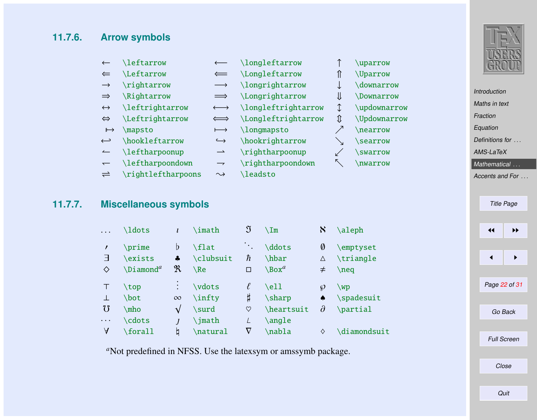#### **11.7.6. Arrow symbols**

|                   | \leftarrow                   | $\longleftarrow$      | \longleftarrow      |   | \uparrow                     |
|-------------------|------------------------------|-----------------------|---------------------|---|------------------------------|
| $\Leftarrow$      | \Leftarrow                   | $\leftarrow$          | \Longleftarrow      |   | <i><u><b>Uparrow</b></u></i> |
| $\rightarrow$     | \rightarrow                  |                       | \longrightarrow     |   | \downarrow                   |
| $\Rightarrow$     | \Rightarrow                  | $\implies$            | \Longrightarrow     | ⇓ | <i><b>Downarrow</b></i>      |
| $\leftrightarrow$ | \leftrightarrow              | $\longleftrightarrow$ | \longleftrightarrow |   | \updownarrow                 |
| $\Leftrightarrow$ | <i><b>Leftrightarrow</b></i> |                       | \Longleftrightarrow | ⇑ | <b>Updownarrow</b>           |
| $\mapsto$         | \mapsto                      | $\longmapsto$         | \longmapsto         |   | \nearrow                     |
| $\hookleftarrow$  | \hookleftarrow               | $\hookrightarrow$     | \hookrightarrow     |   | <b>Searrow</b>               |
| $\leftharpoonup$  | \leftharpoonup               |                       | \rightharpoonup     |   | <b>SWATTOW</b>               |
|                   | \leftharpoondown             |                       | \rightharpoondown   |   | <i><b>nwarrow</b></i>        |

 $\rightleftharpoons$  $\rightarrow$  \rightleftharpoons  $\rightsquigarrow$  \leadsto

#### **11.7.7. Miscellaneous symbols**

| .        | \ldots                | l        | \imath             | J              | $\setminus$ Im          | $\aleph$   | \aleph                 |
|----------|-----------------------|----------|--------------------|----------------|-------------------------|------------|------------------------|
| ╕        | \prime<br>\exists     | b<br>4   | \flat<br>\clubsuit | $\cdot$ .<br>ħ | \ddots<br>\hbar         | 0<br>Δ     | \emptyset<br>\triangle |
| ♦        | $\Delta$ liamond $^a$ | R        | $\Re$              | $\square$      | $\Box$ Box <sup>a</sup> | $\neq$     | $\neq$                 |
|          | \top                  |          | \vdots             | ℓ              | \ell                    | Ø          | WD                     |
|          | \bot                  | $\infty$ | \infty             | Ħ              | \sharp                  | ۰          | \spadesuit             |
| $\sigma$ | \mho                  | V        | \surd              | ♡              | \heartsuit              | $\partial$ | \partial               |
| $\cdots$ | \cdots                |          | \imath             | L              | \angle                  |            |                        |
| A        | \forall               | b        | \natural           | $\rm{v}$       | \nabla                  | ♦          | \diamondsuit           |

<sup>*a*</sup>Not predefined in NFSS. Use the latexsym or amssymb package.



[Introduction](#page-1-0) [Maths in text](#page-2-0)

[Fraction](#page-3-0)

[Equation](#page-3-0)

[Definitions for](#page-9-0) ...

[AMS-LaTeX](#page-10-0)

[Mathematical](#page-19-0) ...

[Accents and For](#page-29-0) ...

| <b>Title Page</b>  |    |  |  |  |  |
|--------------------|----|--|--|--|--|
| ◀◀                 | ▶▶ |  |  |  |  |
|                    |    |  |  |  |  |
| ◀                  | ▶  |  |  |  |  |
|                    |    |  |  |  |  |
| Page 22 of 31      |    |  |  |  |  |
| Go Back            |    |  |  |  |  |
|                    |    |  |  |  |  |
| <b>Full Screen</b> |    |  |  |  |  |

Close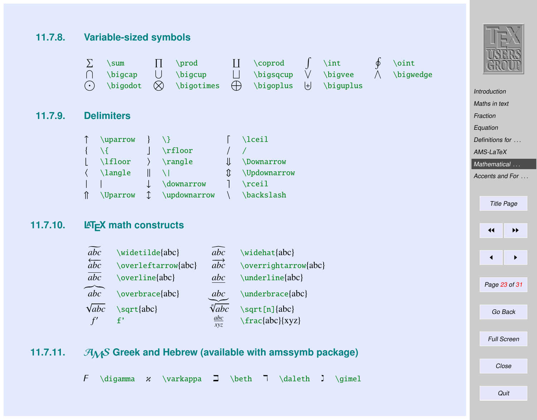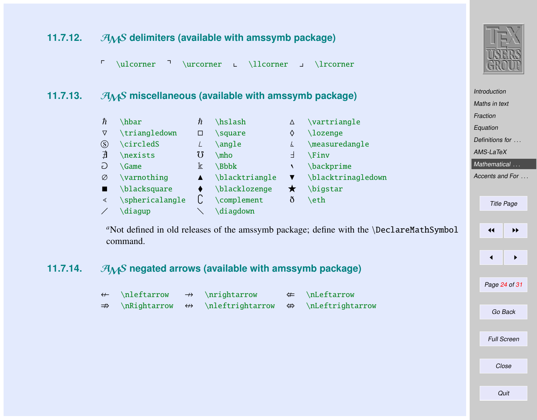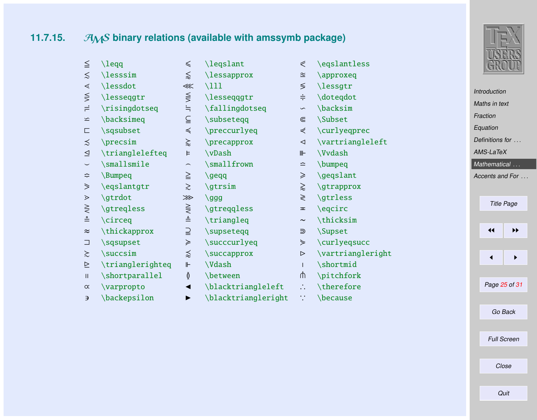# **11.7.15.** A<sub>M</sub>S binary relations (available with amssymb package)

| ≦                        | $\leq$           | ≤                       | \legslant           | ⋞                           | \eqslantless      |          |                      | <b>CVSTEITIO</b>                         |  |
|--------------------------|------------------|-------------------------|---------------------|-----------------------------|-------------------|----------|----------------------|------------------------------------------|--|
|                          |                  |                         |                     |                             |                   |          |                      |                                          |  |
| ≲                        | \lesssim         | $\lessapprox$           | \lessapprox         | $\cong$                     | \approxeq         |          |                      |                                          |  |
| ⋖                        | \lessdot         | $\lll$                  | $\setminus$ 111     | ≶                           | \lessgtr          |          | <b>Introduction</b>  |                                          |  |
| $\lessapprox$            | \lesseqgtr       | $\leq$                  | \lesseqqgtr         | $\div$                      | \doteqdot         |          | Maths in text        |                                          |  |
| ≓                        | \risingdotseq    | $\doteq$                | \fallingdotseq      | $\backsim$                  | \backsim          |          |                      |                                          |  |
| $\leq$                   | \backsimeq       | $\subseteq$             | \subsetegg          | $\subseteq$                 | <b>\Subset</b>    | Fraction |                      |                                          |  |
| С                        | \sqsubset        | $\preccurlyeq$          | \preccurlyeq        | ⋞                           | \curlyeqprec      |          | Equation             |                                          |  |
| ≾                        | $\gamma$         | $\gtrapprox$            | \precapprox         | $\triangleleft$             | \vartriangleleft  |          | Definitions for      |                                          |  |
| ⊴                        | \trianglelefteq  | Þ                       | \vDash              | ⊪                           | \Vvdash           |          | AMS-LaTeX            |                                          |  |
| $\overline{\phantom{0}}$ | \smallsmile      | $\widehat{\phantom{m}}$ | \smallfrown         | $\equiv$                    | \bumpeq           |          |                      | Mathematical                             |  |
| ≎                        | \Bumpeq          | $\geq$                  | $\qquad$            | ≥                           | \geqslant         |          |                      | Accents and For                          |  |
| $\geq$                   | \egslantgtr      | $\geq$                  | $\sqrt{gtrsim}$     | $\gtrapprox$                | $\qquad$          |          |                      |                                          |  |
| ⋗                        | \gtrdot          | ⋙                       | $\qquad$            | ≷                           | \gtrless          |          |                      | <b>Title Page</b>                        |  |
| $\geq$                   | \gtreqless       | $\gtrless$              | \gtreqqless         | $\overline{\phantom{a}}$    | \egcirc           |          |                      |                                          |  |
| ≜                        | \circeq          | $\triangleq$            | \triangleq          | $\sim$                      | \thicksim         |          |                      |                                          |  |
| $\approx$                | \thickapprox     | $\supseteq$             | \supseteqq          | ⋑                           | <b>Supset</b>     |          | $\blacktriangleleft$ | $\blacktriangleright\blacktriangleright$ |  |
| ⊐                        | \sqsupset        | $\geqslant$             | \succcurlyeq        | ⋟                           | \curlyeqsucc      |          |                      |                                          |  |
| $\gtrsim$                | \succsim         | $\lessapprox$           | \succapprox         | $\triangleright$            | \vartriangleright |          |                      | ▶                                        |  |
| ⊵                        | \trianglerighteq | $\mathbb{F}$            | <b>\Vdash</b>       |                             | \shortmid         |          |                      |                                          |  |
| $\mathbf{H}$             | \shortparallel   | Ŏ                       | \between            | ⋔                           | \pitchfork        |          |                      |                                          |  |
| $\propto$                | \varpropto       | ◀                       | \blacktriangleleft  | $\mathcal{L}_{\mathcal{A}}$ | \therefore        |          |                      | Page 25 of 31                            |  |
| Э                        | \backepsilon     | ▶                       | \blacktriangleright | ÷                           | \because          |          |                      |                                          |  |
|                          |                  |                         |                     |                             |                   |          |                      | Go Back                                  |  |
|                          |                  |                         |                     |                             |                   |          |                      |                                          |  |



Full Screen

Close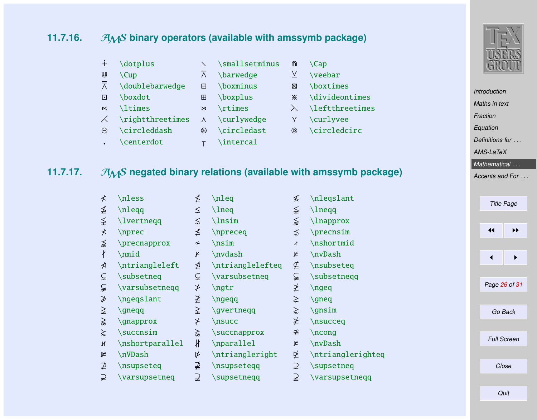# **11.7.16.** *AMS* binary operators (available with amssymb package)

| $+$       | \dotplus                                 |           | smallsetminus\ | ⋒              | \Cap                   |
|-----------|------------------------------------------|-----------|----------------|----------------|------------------------|
| U         | $\cup$ Cup                               | Λ         | \barwedge      | ⊻              | \veebar                |
| $\bar{R}$ | \doublebarwedge                          | Θ         | \boxminus      | ⊠              | \boxtimes              |
| $\Box$    | \boxdot                                  | ⊞         | \boxplus       | ⋇              | \divideontimes         |
| $\ltimes$ | \ltimes                                  | $\Join$   | \rtimes        |                | <b>\leftthreetimes</b> |
| $\times$  | $\rightleftharpoonup$ $\leftarpoonright$ | $\lambda$ | \curlywedge    | Y              | \curlyvee              |
| $\ominus$ | \circleddash                             | ⊛         | \circledast    | $\circledcirc$ | \circledcirc           |
|           | \centerdot                               |           | \intercal      |                |                        |

### **11.7.17.** AMS negated binary relations (available with amssymb package)

| ≮ | \nless          | ≰                          | $\lambda$        | ≰         | \nleqslant        |                      | <b>Title Page</b>  |
|---|-----------------|----------------------------|------------------|-----------|-------------------|----------------------|--------------------|
| ≰ | \nleqq          | ≤                          | $\ln$ eq         | ≨         | \lneqq            |                      |                    |
| ≨ | \lvertneqq      | ≲                          | $\ln \sin$       | ⋦         | $\lambda$         |                      |                    |
| ⊀ | \nprec          | ≰                          | \npreceq         | ⋨         | $\gamma$          | $\blacktriangleleft$ | ▶▶                 |
| ⋨ | \precnapprox    | $\boldsymbol{\mathcal{H}}$ | nsim             | ł         | \nshortmid        |                      |                    |
| ł | \nmid           | K                          | \nvdash          | ¥         | \nvDash           |                      | ▶                  |
| ⋪ | \ntriangleleft  | ⋬                          | \ntrianglelefteq | ⊈         | \nsubseteq        |                      |                    |
| ⊊ | \subsetneq      | ⊊                          | \varsubsetneq    | ⊊         | \subsetneqq       |                      |                    |
| ⊊ | \varsubsetneqq  | ≯                          | $\eta$           | ≱         | $\neq$            | Page 26 of 31        |                    |
| ≱ | \ngeqslant      | ≱                          | $\neq$           | $\geq$    | $\qquad$          |                      |                    |
| ≩ | \gneqq          | ≩                          | \gvertneqq       | $\gtrsim$ | $\sqrt{gnsim}$    | Go Back              |                    |
| ⋧ | \gnapprox       | $\star$                    | \nsucc           | ≱         | \nsucceq          |                      |                    |
| ≿ | \succnsim       | ⋩                          | \succnapprox     | ≇         | $\ncong$          |                      |                    |
| к | \nshortparallel | łł                         | \nparallel       | ⊭         | \nvDash           |                      | <b>Full Screen</b> |
| ⊭ | \nVDash         | ⋫                          | \ntriangleright  | 坠         | \ntrianglerighteq |                      |                    |
| ⊉ | \nsupseteq      | ⊉                          | \nsupseteqq      | ⊇         | \supsetneq        | Close                |                    |
| ⊋ | \varsupsetneq   | ⊋                          | \supsetneqq      | ⊋         | \varsupsetneqq    |                      |                    |
|   |                 |                            |                  |           |                   |                      |                    |



[Introduction](#page-1-0) [Maths in text](#page-2-0) [Fraction](#page-3-0) [Equation](#page-3-0) [Definitions for](#page-9-0) ... [AMS-LaTeX](#page-10-0) [Mathematical](#page-19-0) ... [Accents and For](#page-29-0) ...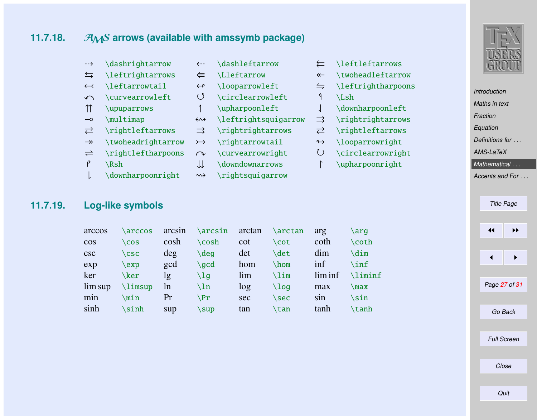# **11.7.18.** AMS arrows (available with amssymb package)

| $\rightarrow$            | \dashrightarrow                      | $\leftarrow -$     | \dashleftarrow                           |                      | \leftleftarrows  |
|--------------------------|--------------------------------------|--------------------|------------------------------------------|----------------------|------------------|
| $\leftrightarrows$       | <i><u><b>Neftrightarrows</b></u></i> | ⇚                  | <b>\Lleftarrow</b>                       | $\leftarrow$         | \twoheadleftarr  |
| $\leftarrow$             | \leftarrowtail                       | $\leftrightarrow$  | \looparrowleft                           | $\leftrightharpoons$ | \leftrightharpoo |
| $\curvearrowleft$        | \curvearrowleft                      | $\left( \right)$   | \circlearrowleft                         | ↰                    | $\mathcal{L}$ sh |
| $\uparrow$               | \upuparrows                          |                    | \upharpoonleft                           |                      | \downharpoonlef  |
| $\overline{\phantom{0}}$ | \multimap                            | $\leftrightarrow$  | <i><u><b>Neftrightsquigarrow</b></u></i> |                      | $\right\$        |
| $\rightleftarrows$       | \rightleftarrows                     | $\Rightarrow$      | \rightrightarrows                        | ⇄                    | \rightleftarrow: |
| $\rightarrow$            | \twoheadrightarrow                   | $\rightarrowtail$  | \rightarrowtail                          | $\leftrightarrow$    | \looparrowright  |
| $\rightleftharpoons$     | \rightleftharpoons                   | $\curvearrowright$ | \curvearrowright                         | $\zeta$              | \circlearrowrig  |
| ₹                        | \Rsh                                 | ⇊                  | \downdownarrows                          |                      | \upharpoonright  |
|                          | \downharpoonright                    | $\rightsquigarrow$ | \rightsquigarrow                         |                      |                  |
|                          |                                      |                    |                                          |                      |                  |

\leftrightarrows W \Lleftarrow \twoheadleftarrow

- $\left\{ \right\}$   $\left\{$
- 
- $\domharpoonleft$
- $\rightarrow$
- $\right\$
- $\Upsilon$
- $\circlearrow$
- $\unl$



[Introduction](#page-1-0) [Maths in text](#page-2-0)

[Fraction](#page-3-0)

[Equation](#page-3-0)

[Definitions for](#page-9-0) ...

[AMS-LaTeX](#page-10-0)

#### [Mathematical](#page-19-0) ...

[Accents and For](#page-29-0) ...

Title Page

### **11.7.19. Log-like symbols**

| arccos  | <b>arccos</b> | arcsin | \arcsin | arctan | \arctan | arg     | \arq        |
|---------|---------------|--------|---------|--------|---------|---------|-------------|
| $\cos$  | \cos          | cosh   | \cosh   | cot    | \cot    | coth    | \coth       |
| csc     | $\csc$        | deg    | \deg    | det    | \det    | dim     | \dim        |
| exp     | $\exp$        | gcd    | \gcd    | hom    | \hom    | inf     | \inf        |
| ker     | \ker          | lg     | \lg     | lim    | \lim    | lim inf | \liminf     |
| lim sup | \limsup       | ln     | \ln     | log    | \loq    | max     | $\max$      |
| min     | \min          | Pr     | \Pr     | sec    | \sec    | sin     | <b>\sin</b> |
| sinh    | \sinh         | sup    | \sup    | tan    | \tan    | tanh    | \tanh       |

# $\leftarrow$   $\rightarrow$  $\blacksquare$ Page 27 of 31

Go Back

Full Screen

Close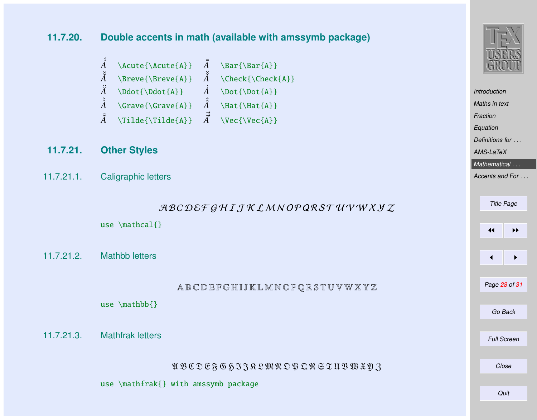**11.7.20. Double accents in math (available with amssymb package)**

- $\overline{A}$  \Acute{\Acute{A}}  $\overline{A}$  $\bar{\text{A}}$  $\breve{A}$  \Breve{\Breve{A}}  $\breve{A}$  \Check{\Check{A}}  $\ddot{A}$  \Ddot{\Ddot{A}}  $\dot{A}$  \Dot{\Dot{A}}  $\hat{A}$  \Grave{\Grave{A}}  $\hat{A}$  \Hat{\Hat{A}}  $\tilde{\tilde{A}}$  \Tilde{\Tilde{A}}  $\vec{\tilde{A}}$  $\Vec{\Vec{A}}$
- **11.7.21. Other Styles**
- 11.7.21.1. Caligraphic letters

use \mathcal{}

11.7.21.2. Mathbb letters

A B C D E F G H I J K L M N O P Q R S T U V W X Y Z

use \mathbb{}

11.7.21.3. Mathfrak letters

U B C D E F G 5 F J R L M R O P Q R S T U B W X Y Z

use \mathfrak{} with amssymb package



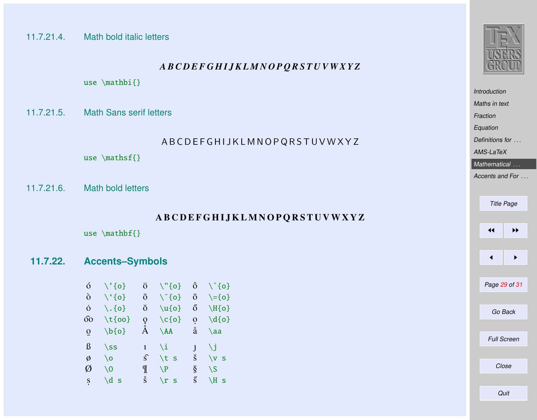#### 11.7.21.4. Math bold italic letters

#### *A B C D E F G H I J K L M N O P Q R S T U V W X Y Z*

use \mathbi{}

11.7.21.5. Math Sans serif letters

#### A B C D E F G H I J K L M N O P Q R S T U V W X Y Z

use \mathsf{}

11.7.21.6. Math bold letters

#### A B C D E F G H I J K L M N O P Q R S T U V W X Y Z

use \mathbf{}

#### **11.7.22. Accents–Symbols**

| ó           | $\setminus$ '{0}   | $\ddot{\rm o}$ | $\Upsilon$ "{0}       | ô            | $\setminus$ {0}     |
|-------------|--------------------|----------------|-----------------------|--------------|---------------------|
| ò           | $\setminus \{0\}$  | õ              | $\{o\}^{\sim}$        | ō            | $\setminus = \{o\}$ |
| Ò           | $\setminus$ . {0}  | ŏ              | $\u{o}$               | ő            | $\H{o}$             |
| σò          | $\setminus$ t{oo}  | ç              | $\setminus$ c $\{o\}$ | $\mathbf{o}$ | $\{d\}$             |
| $\mathbf 0$ | $\{b\}$            | Å              | $\Delta A$            | å            | $\a$                |
| ß           | $\setminus$ ss     | $\mathbf{1}$   | ١i                    |              | ١i                  |
| Ø           | ١o                 | $\widehat{s}$  | \t s                  | š            | $\vee$<br>- S       |
| Ø           | ١٥                 | ¶              | $\P$                  | ş            | $\setminus$ S       |
| S           | \d<br>$\mathbf{s}$ | ŝ              | $\chi$<br><b>S</b>    | ś            | NН<br>$\mathbf S$   |



|               | <b>Introduction</b> |                    |  |  |  |  |  |
|---------------|---------------------|--------------------|--|--|--|--|--|
| Maths in text |                     |                    |  |  |  |  |  |
| Fraction      |                     |                    |  |  |  |  |  |
| Equation      |                     |                    |  |  |  |  |  |
|               | Definitions for     |                    |  |  |  |  |  |
|               | AMS-LaTeX           |                    |  |  |  |  |  |
|               |                     | Mathematical       |  |  |  |  |  |
|               |                     | Accents and For.   |  |  |  |  |  |
|               |                     |                    |  |  |  |  |  |
|               |                     | <b>Title Page</b>  |  |  |  |  |  |
|               |                     |                    |  |  |  |  |  |
|               | ◀◀                  | ▶▶                 |  |  |  |  |  |
|               |                     |                    |  |  |  |  |  |
|               |                     |                    |  |  |  |  |  |
|               | ◀                   | ▶                  |  |  |  |  |  |
|               |                     |                    |  |  |  |  |  |
|               |                     | Page 29 of 31      |  |  |  |  |  |
|               |                     |                    |  |  |  |  |  |
| Go Back       |                     |                    |  |  |  |  |  |
|               |                     |                    |  |  |  |  |  |
|               |                     | <b>Full Screen</b> |  |  |  |  |  |
|               |                     |                    |  |  |  |  |  |
|               |                     |                    |  |  |  |  |  |
|               |                     | Close              |  |  |  |  |  |
|               |                     |                    |  |  |  |  |  |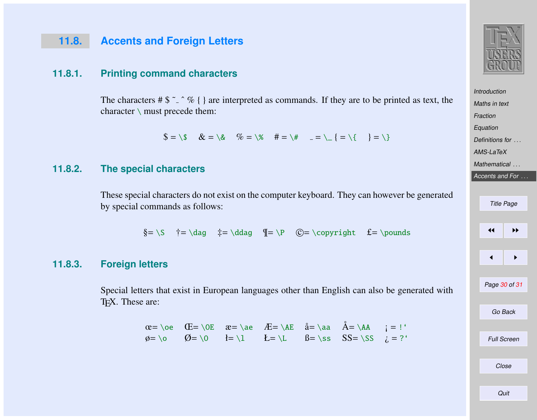### <span id="page-29-0"></span>**11.8. Accents and Foreign Letters**

#### **11.8.1. Printing command characters**

The characters #  $\frac{6}{5}$   $\frac{6}{5}$   $\frac{6}{5}$  { } are interpreted as commands. If they are to be printed as text, the character \ must precede them:

 $\$ = \S \& = \S \& = \S \& = \S \& = \S$ 

#### **11.8.2. The special characters**

These special characters do not exist on the computer keyboard. They can however be generated by special commands as follows:

 $\S = \S$   $\dagger = \dagger$   $\ldots$   $\P = \P$   $\mathbb{C} = \copyright$   $f = \pmod{S}$ 

#### **11.8.3. Foreign letters**

Special letters that exist in European languages other than English can also be generated with TEX. These are:

> $\alpha$  = \oe  $\alpha$  = \oe  $\alpha$  = \ae  $\alpha$  = \AE  $a$  = \aa  $A$  = \AA  $\alpha$  = !' ø= \o Ø= \O ł= \l Ł= \L ß= \ss SS= \SS ¿ = ?'



[Maths in text](#page-2-0) **[Fraction](#page-3-0)** [Equation](#page-3-0) [Definitions for](#page-9-0) ... [AMS-LaTeX](#page-10-0) [Mathematical](#page-19-0) ...

**[Introduction](#page-1-0)** 

# Accents and For ... Title Page  $\left| \cdot \right|$  $\blacksquare$ Page 30 of 31 Go Back

Close

Full Screen